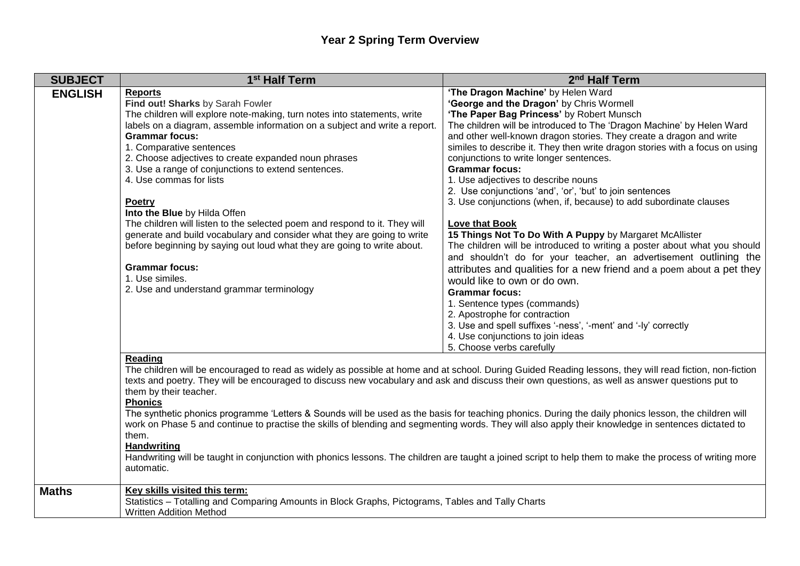## **Year 2 Spring Term Overview**

| <b>SUBJECT</b> | 1 <sup>st</sup> Half Term                                                                                                                                                                                                                                                                                                                                                                                                                                                                                                                                                                                                                                                                                                                                                                                                                                                                        | 2 <sup>nd</sup> Half Term                                                                                                                                                                                                                                                                                                                                                                                                                                                                                                                                                                                                                                                                                                                                                                                                                                                                                                                                                                                                                                                                                                                                                      |
|----------------|--------------------------------------------------------------------------------------------------------------------------------------------------------------------------------------------------------------------------------------------------------------------------------------------------------------------------------------------------------------------------------------------------------------------------------------------------------------------------------------------------------------------------------------------------------------------------------------------------------------------------------------------------------------------------------------------------------------------------------------------------------------------------------------------------------------------------------------------------------------------------------------------------|--------------------------------------------------------------------------------------------------------------------------------------------------------------------------------------------------------------------------------------------------------------------------------------------------------------------------------------------------------------------------------------------------------------------------------------------------------------------------------------------------------------------------------------------------------------------------------------------------------------------------------------------------------------------------------------------------------------------------------------------------------------------------------------------------------------------------------------------------------------------------------------------------------------------------------------------------------------------------------------------------------------------------------------------------------------------------------------------------------------------------------------------------------------------------------|
| <b>ENGLISH</b> | <b>Reports</b><br>Find out! Sharks by Sarah Fowler<br>The children will explore note-making, turn notes into statements, write<br>labels on a diagram, assemble information on a subject and write a report.<br><b>Grammar focus:</b><br>1. Comparative sentences<br>2. Choose adjectives to create expanded noun phrases<br>3. Use a range of conjunctions to extend sentences.<br>4. Use commas for lists<br>Poetry<br>Into the Blue by Hilda Offen<br>The children will listen to the selected poem and respond to it. They will<br>generate and build vocabulary and consider what they are going to write<br>before beginning by saying out loud what they are going to write about.<br><b>Grammar focus:</b><br>1. Use similes.<br>2. Use and understand grammar terminology                                                                                                               | 'The Dragon Machine' by Helen Ward<br>'George and the Dragon' by Chris Wormell<br>'The Paper Bag Princess' by Robert Munsch<br>The children will be introduced to The 'Dragon Machine' by Helen Ward<br>and other well-known dragon stories. They create a dragon and write<br>similes to describe it. They then write dragon stories with a focus on using<br>conjunctions to write longer sentences.<br><b>Grammar focus:</b><br>1. Use adjectives to describe nouns<br>2. Use conjunctions 'and', 'or', 'but' to join sentences<br>3. Use conjunctions (when, if, because) to add subordinate clauses<br>Love that Book<br>15 Things Not To Do With A Puppy by Margaret McAllister<br>The children will be introduced to writing a poster about what you should<br>and shouldn't do for your teacher, an advertisement outlining the<br>attributes and qualities for a new friend and a poem about a pet they<br>would like to own or do own.<br><b>Grammar focus:</b><br>1. Sentence types (commands)<br>2. Apostrophe for contraction<br>3. Use and spell suffixes '-ness', '-ment' and '-ly' correctly<br>4. Use conjunctions to join ideas<br>5. Choose verbs carefully |
|                | <b>Reading</b><br>The children will be encouraged to read as widely as possible at home and at school. During Guided Reading lessons, they will read fiction, non-fiction<br>texts and poetry. They will be encouraged to discuss new vocabulary and ask and discuss their own questions, as well as answer questions put to<br>them by their teacher.<br><b>Phonics</b><br>The synthetic phonics programme 'Letters & Sounds will be used as the basis for teaching phonics. During the daily phonics lesson, the children will<br>work on Phase 5 and continue to practise the skills of blending and segmenting words. They will also apply their knowledge in sentences dictated to<br>them.<br><b>Handwriting</b><br>Handwriting will be taught in conjunction with phonics lessons. The children are taught a joined script to help them to make the process of writing more<br>automatic. |                                                                                                                                                                                                                                                                                                                                                                                                                                                                                                                                                                                                                                                                                                                                                                                                                                                                                                                                                                                                                                                                                                                                                                                |
| <b>Maths</b>   | Key skills visited this term:<br>Statistics - Totalling and Comparing Amounts in Block Graphs, Pictograms, Tables and Tally Charts<br><b>Written Addition Method</b>                                                                                                                                                                                                                                                                                                                                                                                                                                                                                                                                                                                                                                                                                                                             |                                                                                                                                                                                                                                                                                                                                                                                                                                                                                                                                                                                                                                                                                                                                                                                                                                                                                                                                                                                                                                                                                                                                                                                |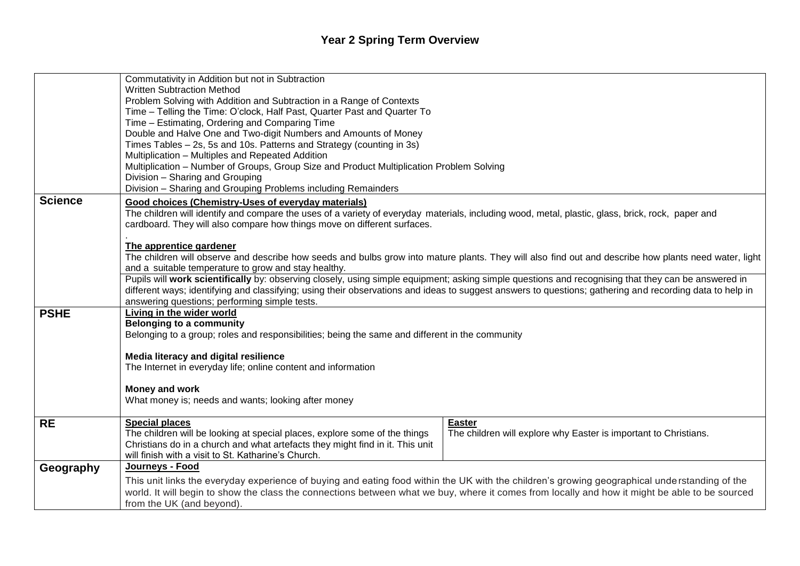## **Year 2 Spring Term Overview**

|                | Commutativity in Addition but not in Subtraction                                                                                                                                                                                                                                                |  |  |
|----------------|-------------------------------------------------------------------------------------------------------------------------------------------------------------------------------------------------------------------------------------------------------------------------------------------------|--|--|
|                | <b>Written Subtraction Method</b>                                                                                                                                                                                                                                                               |  |  |
|                | Problem Solving with Addition and Subtraction in a Range of Contexts                                                                                                                                                                                                                            |  |  |
|                | Time - Telling the Time: O'clock, Half Past, Quarter Past and Quarter To                                                                                                                                                                                                                        |  |  |
|                | Time - Estimating, Ordering and Comparing Time                                                                                                                                                                                                                                                  |  |  |
|                | Double and Halve One and Two-digit Numbers and Amounts of Money                                                                                                                                                                                                                                 |  |  |
|                | Times Tables - 2s, 5s and 10s. Patterns and Strategy (counting in 3s)                                                                                                                                                                                                                           |  |  |
|                | Multiplication - Multiples and Repeated Addition<br>Multiplication - Number of Groups, Group Size and Product Multiplication Problem Solving                                                                                                                                                    |  |  |
|                | Division - Sharing and Grouping                                                                                                                                                                                                                                                                 |  |  |
|                | Division - Sharing and Grouping Problems including Remainders                                                                                                                                                                                                                                   |  |  |
| <b>Science</b> | Good choices (Chemistry-Uses of everyday materials)                                                                                                                                                                                                                                             |  |  |
|                | The children will identify and compare the uses of a variety of everyday materials, including wood, metal, plastic, glass, brick, rock, paper and                                                                                                                                               |  |  |
|                | cardboard. They will also compare how things move on different surfaces.                                                                                                                                                                                                                        |  |  |
|                |                                                                                                                                                                                                                                                                                                 |  |  |
|                | The apprentice gardener                                                                                                                                                                                                                                                                         |  |  |
|                | The children will observe and describe how seeds and bulbs grow into mature plants. They will also find out and describe how plants need water, light                                                                                                                                           |  |  |
|                | and a suitable temperature to grow and stay healthy.                                                                                                                                                                                                                                            |  |  |
|                | Pupils will work scientifically by: observing closely, using simple equipment; asking simple questions and recognising that they can be answered in                                                                                                                                             |  |  |
|                | different ways; identifying and classifying; using their observations and ideas to suggest answers to questions; gathering and recording data to help in                                                                                                                                        |  |  |
|                | answering questions; performing simple tests.                                                                                                                                                                                                                                                   |  |  |
| <b>PSHE</b>    | Living in the wider world                                                                                                                                                                                                                                                                       |  |  |
|                | <b>Belonging to a community</b>                                                                                                                                                                                                                                                                 |  |  |
|                | Belonging to a group; roles and responsibilities; being the same and different in the community                                                                                                                                                                                                 |  |  |
|                | Media literacy and digital resilience                                                                                                                                                                                                                                                           |  |  |
|                | The Internet in everyday life; online content and information                                                                                                                                                                                                                                   |  |  |
|                |                                                                                                                                                                                                                                                                                                 |  |  |
|                | Money and work                                                                                                                                                                                                                                                                                  |  |  |
|                | What money is; needs and wants; looking after money                                                                                                                                                                                                                                             |  |  |
|                |                                                                                                                                                                                                                                                                                                 |  |  |
| <b>RE</b>      | <b>Special places</b><br><b>Easter</b>                                                                                                                                                                                                                                                          |  |  |
|                | The children will be looking at special places, explore some of the things<br>The children will explore why Easter is important to Christians.                                                                                                                                                  |  |  |
|                | Christians do in a church and what artefacts they might find in it. This unit<br>will finish with a visit to St. Katharine's Church.                                                                                                                                                            |  |  |
| Geography      | Journeys - Food                                                                                                                                                                                                                                                                                 |  |  |
|                |                                                                                                                                                                                                                                                                                                 |  |  |
|                | This unit links the everyday experience of buying and eating food within the UK with the children's growing geographical understanding of the<br>world. It will begin to show the class the connections between what we buy, where it comes from locally and how it might be able to be sourced |  |  |
|                | from the UK (and beyond).                                                                                                                                                                                                                                                                       |  |  |
|                |                                                                                                                                                                                                                                                                                                 |  |  |